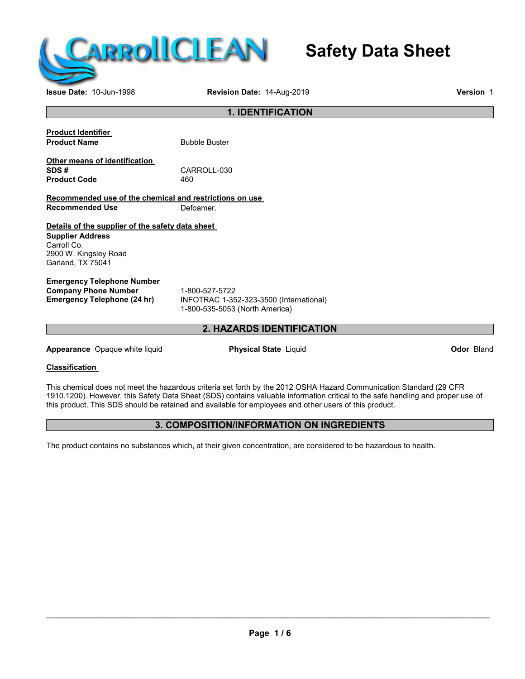

# **Safety Data Sheet**

**Issue Date:** 10-Jun-1998 **Revision Date:** 14-Aug-2019 **Version** 1

#### **1. IDENTIFICATION**

| <b>Product Identifier</b> |               |
|---------------------------|---------------|
| <b>Product Name</b>       | <b>Bubble</b> |
| $\bigcap_{i=1}^{n}$       |               |

**Other means of identification Product Code** 

CARROLL-030<br>460

**Buster** 

**Recommended use of the chemical and restrictions on use Recommended Use** Defoamer.

**Details of the supplier of the safety data sheet Supplier Address** Carroll Co. 2900 W. Kingsley Road Garland, TX 75041

# **Emergency Telephone Number**

**Company Phone Number** 1-800-527-5722<br> **Emergency Telephone (24 hr)** INFOTRAC 1-35

**Emergency Telephone (24 hr)** INFOTRAC 1-352-323-3500 (International) 1-800-535-5053 (North America)

# **2. HAZARDS IDENTIFICATION**

**Appearance** Opaque white liquid **Physical State** Liquid **Odor** Bland

**Classification**

This chemical does not meet the hazardous criteria set forth by the 2012 OSHA Hazard Communication Standard (29 CFR 1910.1200). However, this Safety Data Sheet (SDS) contains valuable information critical to the safe handling and proper use of this product. This SDS should be retained and available for employees and other users of this product.

# **3. COMPOSITION/INFORMATION ON INGREDIENTS**

The product contains no substances which, at their given concentration, are considered to be hazardous to health.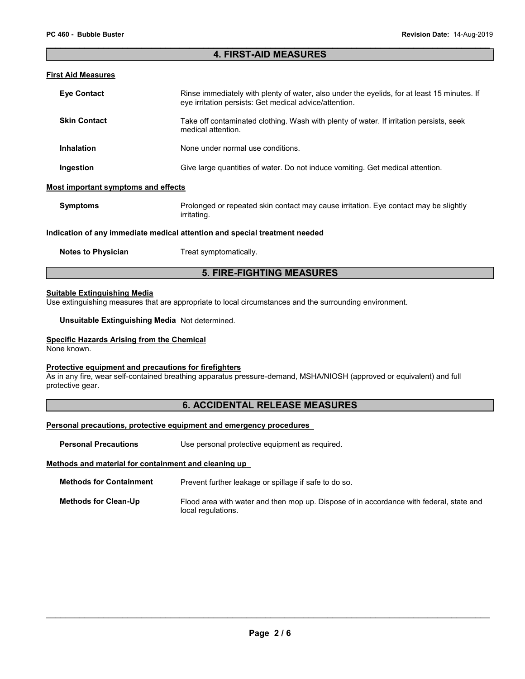#### **4. FIRST-AID MEASURES**

#### **First Aid Measures**

| <b>Eye Contact</b>                         | Rinse immediately with plenty of water, also under the evelids, for at least 15 minutes. If<br>eye irritation persists: Get medical advice/attention. |
|--------------------------------------------|-------------------------------------------------------------------------------------------------------------------------------------------------------|
| <b>Skin Contact</b>                        | Take off contaminated clothing. Wash with plenty of water. If irritation persists, seek<br>medical attention.                                         |
| <b>Inhalation</b>                          | None under normal use conditions.                                                                                                                     |
| Ingestion                                  | Give large quantities of water. Do not induce vomiting. Get medical attention.                                                                        |
| <b>Most important symptoms and effects</b> |                                                                                                                                                       |
| <b>Symptoms</b>                            | Prolonged or repeated skin contact may cause irritation. Eye contact may be slightly<br>irritating.                                                   |
|                                            | Indication of any immediate medical attention and special treatment needed                                                                            |

**Notes to Physician** Treat symptomatically.

### **5. FIRE-FIGHTING MEASURES**

#### **Suitable Extinguishing Media**

Use extinguishing measures that are appropriate to local circumstances and the surrounding environment.

**Unsuitable Extinguishing Media** Not determined.

#### **Specific Hazards Arising from the Chemical**

None known.

#### **Protective equipment and precautions for firefighters**

As in any fire, wear self-contained breathing apparatus pressure-demand, MSHA/NIOSH (approved or equivalent) and full protective gear.

# **6. ACCIDENTAL RELEASE MEASURES**

#### **Personal precautions, protective equipment and emergency procedures**

**Personal Precautions** Use personal protective equipment as required.

#### **Methods and material for containment and cleaning up**

**Methods for Containment** Prevent further leakage or spillage if safe to do so.

| Methods for Clean-Up | Flood area with water and then mop up. Dispose of in accordance with federal, state and |
|----------------------|-----------------------------------------------------------------------------------------|
|                      | local regulations.                                                                      |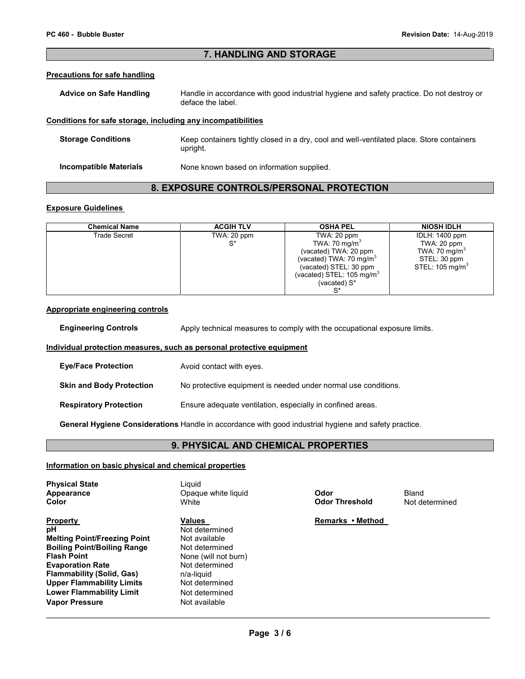# **7. HANDLING AND STORAGE**

#### **Precautions for safe handling**

| <b>Advice on Safe Handling</b> | Handle in accordance with good industrial hygiene and safety practice. Do not destroy or |
|--------------------------------|------------------------------------------------------------------------------------------|
|                                | deface the label.                                                                        |

#### **Conditions for safe storage, including any incompatibilities**

| <b>Storage Conditions</b> | Keep containers tightly closed in a dry, cool and well-ventilated place. Store containers<br>upright. |
|---------------------------|-------------------------------------------------------------------------------------------------------|
| Incompatible Materials    | None known based on information supplied.                                                             |

# **8. EXPOSURE CONTROLS/PERSONAL PROTECTION**

#### **Exposure Guidelines**

| <b>Chemical Name</b> | <b>ACGIH TLV</b> | <b>OSHA PEL</b>                       | <b>NIOSH IDLH</b>          |
|----------------------|------------------|---------------------------------------|----------------------------|
| Trade Secret         | TWA: 20 ppm      | TWA: $20$ ppm                         | IDLH: 1400 ppm             |
|                      | $S^*$            | TWA: 70 mg/m <sup>3</sup>             | TWA: $20$ ppm              |
|                      |                  | (vacated) TWA: 20 ppm                 | TWA: 70 mg/m <sup>3</sup>  |
|                      |                  | (vacated) TWA: 70 mg/m <sup>3</sup>   | STEL: 30 ppm               |
|                      |                  | (vacated) STEL: 30 ppm                | STEL: $105 \text{ mg/m}^3$ |
|                      |                  | (vacated) STEL: 105 mg/m <sup>3</sup> |                            |
|                      |                  | (vacated) $S^*$                       |                            |
|                      |                  |                                       |                            |

#### **Appropriate engineering controls**

**Engineering Controls** Apply technical measures to comply with the occupational exposure limits.

#### **Individual protection measures, such as personal protective equipment**

| <b>Eye/Face Protection</b>      | Avoid contact with eyes.                                       |
|---------------------------------|----------------------------------------------------------------|
| <b>Skin and Body Protection</b> | No protective equipment is needed under normal use conditions. |
| <b>Respiratory Protection</b>   | Ensure adequate ventilation, especially in confined areas.     |

**General Hygiene Considerations** Handle in accordance with good industrial hygiene and safety practice.

# **9. PHYSICAL AND CHEMICAL PROPERTIES**

#### **Information on basic physical and chemical properties**

| <b>Physical State</b><br>Appearance<br>Color | Liauid<br>Opaque white liquid<br>White | Odor<br><b>Odor Threshold</b> | Bland<br>Not determined |
|----------------------------------------------|----------------------------------------|-------------------------------|-------------------------|
| <b>Property</b>                              | <b>Values</b>                          | Remarks • Method              |                         |
| pН                                           | Not determined                         |                               |                         |
| <b>Melting Point/Freezing Point</b>          | Not available                          |                               |                         |
| <b>Boiling Point/Boiling Range</b>           | Not determined                         |                               |                         |
| Flash Point                                  | None (will not burn)                   |                               |                         |
| <b>Evaporation Rate</b>                      | Not determined                         |                               |                         |
| Flammability (Solid, Gas)                    | n/a-liquid                             |                               |                         |
| <b>Upper Flammability Limits</b>             | Not determined                         |                               |                         |
| <b>Lower Flammability Limit</b>              | Not determined                         |                               |                         |
| Vapor Pressure                               | Not available                          |                               |                         |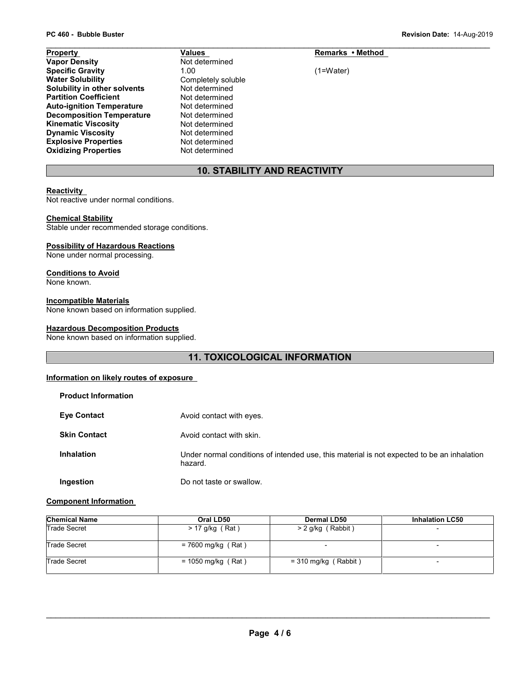| PC 460 - Bubble Buster           |                    |                  | Revision Date: 14-Aug-2019 |
|----------------------------------|--------------------|------------------|----------------------------|
| Property                         | Values             | Remarks • Method |                            |
| <b>Vapor Density</b>             | Not determined     |                  |                            |
| <b>Specific Gravity</b>          | 1.00               | (1=Water)        |                            |
| <b>Water Solubility</b>          | Completely soluble |                  |                            |
| Solubility in other solvents     | Not determined     |                  |                            |
| <b>Partition Coefficient</b>     | Not determined     |                  |                            |
| <b>Auto-ignition Temperature</b> | Not determined     |                  |                            |
| <b>Decomposition Temperature</b> | Not determined     |                  |                            |
| <b>Kinematic Viscosity</b>       | Not determined     |                  |                            |
| <b>Dynamic Viscosity</b>         | Not determined     |                  |                            |
| <b>Explosive Properties</b>      | Not determined     |                  |                            |
| <b>Oxidizing Properties</b>      | Not determined     |                  |                            |

# **10. STABILITY AND REACTIVITY**

# **Reactivity**

Not reactive under normal conditions.

#### **Chemical Stability**

Stable under recommended storage conditions.

#### **Possibility of Hazardous Reactions**

None under normal processing.

#### **Conditions to Avoid**

None known.

#### **Incompatible Materials**

None known based on information supplied.

#### **Hazardous Decomposition Products**

None known based on information supplied.

# **11. TOXICOLOGICAL INFORMATION**

#### **Information on likely routes of exposure**

| <b>Product Information</b> |                                                                                                       |
|----------------------------|-------------------------------------------------------------------------------------------------------|
| <b>Eye Contact</b>         | Avoid contact with eyes.                                                                              |
| <b>Skin Contact</b>        | Avoid contact with skin.                                                                              |
| <b>Inhalation</b>          | Under normal conditions of intended use, this material is not expected to be an inhalation<br>hazard. |
| Ingestion                  | Do not taste or swallow.                                                                              |

#### **Component Information**

| <b>Chemical Name</b> | Oral LD50            | <b>Dermal LD50</b>     | <b>Inhalation LC50</b>   |
|----------------------|----------------------|------------------------|--------------------------|
| Trade Secret         | $> 17$ g/kg (Rat)    | > 2 g/kg (Rabbit)      |                          |
| Trade Secret         | $= 7600$ mg/kg (Rat) |                        | $\overline{\phantom{0}}$ |
| Trade Secret         | $= 1050$ mg/kg (Rat) | $=$ 310 mg/kg (Rabbit) | -                        |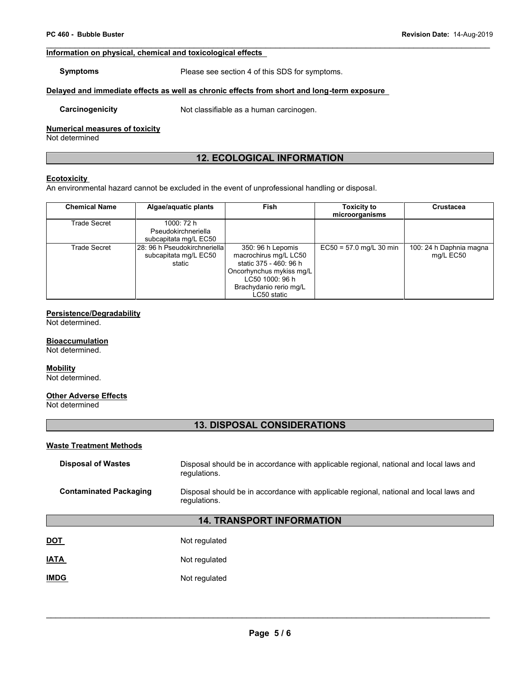# **PC 460 - Bubble Buster**<br>**PC 460 - Bubble Buster**<br>Information on physical, chamical and toxical arises offects **Information on physical, chemical and toxicological effects**

**Symptoms** Please see section 4 of this SDS for symptoms.

#### **Delayed and immediate effects as well as chronic effects from short and long-term exposure**

**Carcinogenicity** Not classifiable as a human carcinogen.

#### **Numerical measures of toxicity**

Not determined

# **12. ECOLOGICAL INFORMATION**

#### **Ecotoxicity**

An environmental hazard cannot be excluded in the event of unprofessional handling or disposal.

| <b>Chemical Name</b> | Algae/aquatic plants                                            | Fish                                                                                                                                                         | <b>Toxicity to</b><br>microorganisms | <b>Crustacea</b>                     |
|----------------------|-----------------------------------------------------------------|--------------------------------------------------------------------------------------------------------------------------------------------------------------|--------------------------------------|--------------------------------------|
| Trade Secret         | 1000: 72 h<br>Pseudokirchneriella<br>subcapitata mg/L EC50      |                                                                                                                                                              |                                      |                                      |
| Trade Secret         | 28: 96 h Pseudokirchneriella<br>subcapitata mg/L EC50<br>static | 350: 96 h Lepomis<br>macrochirus mg/L LC50<br>static 375 - 460: 96 h<br>Oncorhynchus mykiss mg/L<br>LC50 1000: 96 h<br>Brachydanio rerio mg/L<br>LC50 static | $EC50 = 57.0$ mg/L 30 min            | 100: 24 h Daphnia magna<br>mg/L EC50 |

# **Persistence/Degradability**

Not determined.

#### **Bioaccumulation**

Not determined.

#### **Mobility**

Not determined.

#### **Other Adverse Effects**

Not determined

# **13. DISPOSAL CONSIDERATIONS**

#### **Waste Treatment Methods**

| Disposal of Wastes     | Disposal should be in accordance with applicable regional, national and local laws and<br>regulations. |
|------------------------|--------------------------------------------------------------------------------------------------------|
| Contaminated Packaging | Disposal should be in accordance with applicable regional, national and local laws and<br>regulations. |

# **14. TRANSPORT INFORMATION**

| <b>DOT</b>  | Not regulated |
|-------------|---------------|
| <b>IATA</b> | Not regulated |
| <b>IMDG</b> | Not regulated |